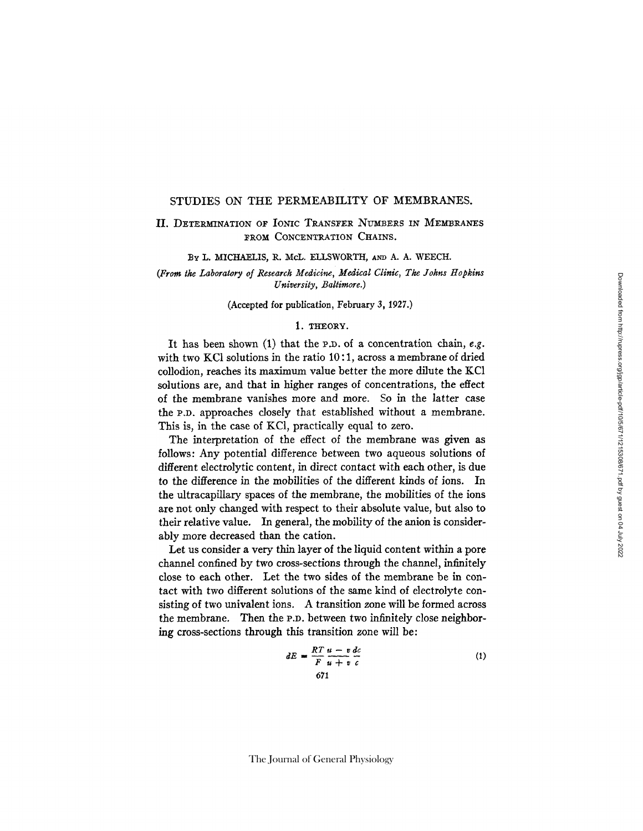## STUDIES ON THE PERMEABILITY OF MEMBRANES.

# II. DETERMINATION OF IONIC TRANSFER NUMBERS IN MEMBRANES FROM CONCENTRATION CHAINS.

BY L. MICHAELIS, R. McL. ELLSWORTH, AND A. A. WEECH.

*(From the Laboratory of Research Medicine, Medical Clinic, The Johns Hopkins University, Baltimore.)* 

#### (Accepted for publication, February 3, 1927.)

#### 1. THEORY.

It has been shown (1) that the P.D. of a concentration chain, *e.g.* with two KCI solutions in the ratio 10:1, across a membrane of dried collodion, reaches its maximum value better the more dilute the KC1 solutions are, and that in higher ranges of concentrations, the effect of the membrane vanishes more and more. So in the latter case the P.D. approaches closely that established without a membrane. This is, in the case of KCI, practically equal to zero.

The interpretation of the effect of the membrane was given as follows: Any potential difference between two aqueous solutions of different electrolytic content, in direct contact with each other, is due to the difference in the mobilities of the different kinds of ions. In the ultracapillary spaces of the membrane, the mobilities of the ions are not only changed with respect to their absolute value, but also to their relative value. In general, the mobility of the anion is considerably more decreased than the cation.

Let us consider a very thin layer of the liquid content within a pore channel confined by two cross-sections through the channel, infinitely close to each other. Let the two sides of the membrane be in contact with two different solutions of the same kind of electrolyte consisting of two univalent ions. A transition zone will be formed across the membrane. Then the P.D. between two infinitely close neighboring cross-sections through this transition zone will be:

$$
dE = \frac{RT}{F} \frac{u - v}{u + v} \frac{dc}{c}
$$

$$
671
$$
 (1)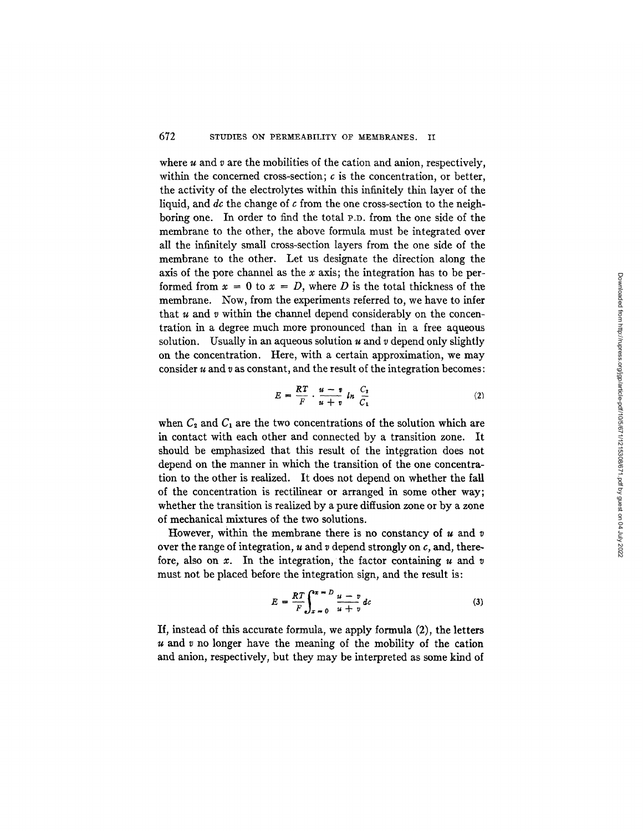where  $u$  and  $v$  are the mobilities of the cation and anion, respectively, within the concerned cross-section;  $c$  is the concentration, or better, the activity of the electrolytes within this infinitely thin layer of the liquid, and *dc* the change of c from the one cross-section to the neighboring one. In order to find the total P.D. from the one side of the membrane to the other, the above formula must be integrated over all the infinitely small cross-section layers from the one side of the membrane to the other. Let us designate the direction along the axis of the pore channel as the x axis; the integration has to be performed from  $x = 0$  to  $x = D$ , where D is the total thickness of the membrane. Now, from the experiments referred to, we have to infer that  $u$  and  $v$  within the channel depend considerably on the concentration in a degree much more pronounced than in a free aqueous solution. Usually in an aqueous solution  $u$  and  $v$  depend only slightly on the concentration. Here, with a certain approximation, we may consider  $u$  and  $v$  as constant, and the result of the integration becomes:

$$
E = \frac{RT}{F} \cdot \frac{u - v}{u + v} \ln \frac{C_2}{C_1} \tag{2}
$$

when  $C_2$  and  $C_1$  are the two concentrations of the solution which are in contact with each other and connected by a transition zone. It should be emphasized that this result of the integration does not depend on the manner in which the transition of the one concentration to the other is realized. It does not depend on whether the fall of the concentration is rectilinear or arranged in some other way; whether the transition is realized by a pure diffusion zone or by a zone of mechanical mixtures of the two solutions.

However, within the membrane there is no constancy of  $u$  and  $v$ over the range of integration,  $u$  and  $v$  depend strongly on  $c$ , and, therefore, also on  $x$ . In the integration, the factor containing  $u$  and  $v$ must not be placed before the integration sign, and the result is:

$$
E = \frac{RT}{F} \int_{x=0}^{x=\infty} \frac{u-v}{u+v} \, dv \tag{3}
$$

If, instead of this accurate formula, we apply formula (2), the letters  $u$  and  $v$  no longer have the meaning of the mobility of the cation and anion, respectively, but they may be interpreted as some kind of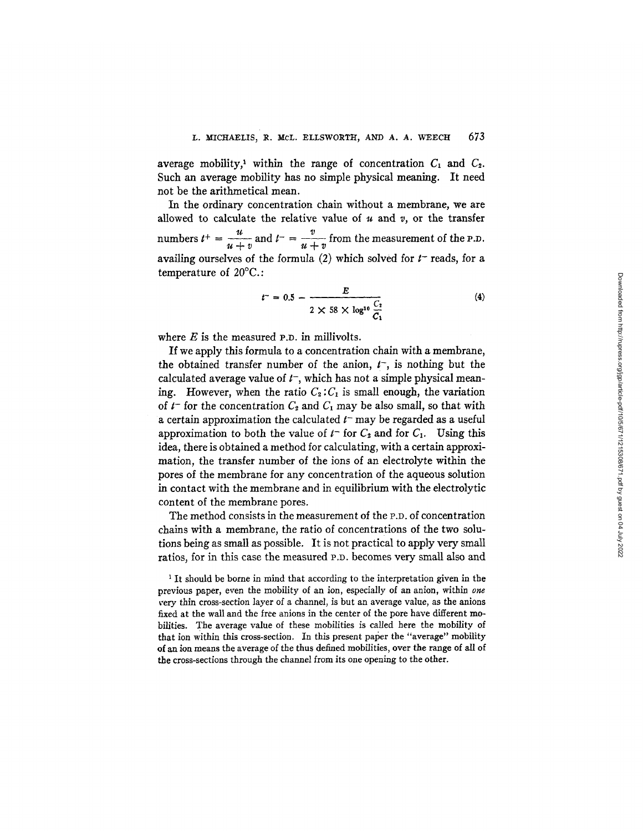average mobility,<sup>1</sup> within the range of concentration  $C_1$  and  $C_2$ . Such an average mobility has no simple physical meaning. It need not be the arithmetical mean.

In the ordinary concentration chain without a membrane, we are allowed to calculate the relative value of u and *v,* or the transfer numbers  $t^+ = \frac{u}{u+v}$  and  $t^- = \frac{v}{u+v}$  from the measurement of the P.D. availing ourselves of the formula (2) which solved for  $t^-$  reads, for a temperature of 20°C.:

$$
t^-=0.5-\frac{E}{2\times 58\times \log^{10}\frac{C_2}{C_1}}
$$
 (4)

where  $E$  is the measured P.D. in millivolts.

If we apply this formula to a concentration chain with a membrane, the obtained transfer number of the anion,  $t^{\text{-}}$ , is nothing but the calculated average value of  $t^-$ , which has not a simple physical meaning. However, when the ratio  $C_2: C_1$  is small enough, the variation of  $t^-$  for the concentration  $C_2$  and  $C_1$  may be also small, so that with a certain approximation the calculated  $t$  may be regarded as a useful approximation to both the value of  $t$ <sup>-</sup> for  $C_2$  and for  $C_1$ . Using this idea, there is obtained a method for calculating, with a certain approximation, the transfer number of the ions of an electrolyte within the pores of the membrane for any concentration of the aqueous solution in contact with the membrane and in equilibrium with the electrolytic content of the membrane pores.

The method consists in the measurement of the P.D. of concentration chains with a membrane, the ratio of concentrations of the two solutions being as small as possible. It is not practical to apply very small ratios, for in this case the measured P.D. becomes very small also and

<sup>1</sup> It should be borne in mind that according to the interpretation given in the previous paper, even the mobility of an ion, especially of an anion, within *one*  very thin cross-section layer of a channel, is but an average value, as the anions fixed at the wall and the free anions in the center of the pore have different mobilities. The average value of these mobilities is called here the mobility of that ion within this cross-section. In this present paper the "average" mobility of an ion means the average of the thus defined mobilities, over the range of all of the cross-sections through the channel from its one opening to the other.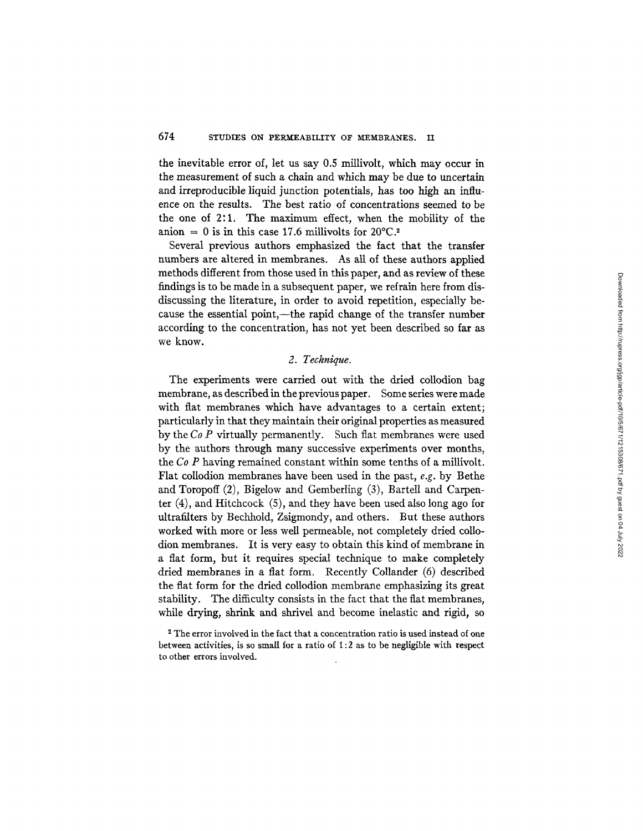the inevitable error of, let us say 0.5 millivolt, which may occur in the measurement of such a chain and which may be due to uncertain and irreproducible liquid junction potentials, has too high an influence on the results. The best ratio of concentrations seemed to be the one of 2:1. The maximum effect, when the mobility of the anion = 0 is in this case 17.6 millivolts for  $20^{\circ}$ C.<sup>2</sup>

Several previous authors emphasized the fact that the transfer numbers are altered in membranes. As all of these authors applied methods different from those used in this paper, and as review of these findings is to be made in a subsequent paper, we refrain here from disdiscussing the literature, in order to avoid repetition, especially because the essential point,—the rapid change of the transfer number according to the concentration, has not yet been described so far as we know.

## *2. Technique.*

The experiments were carried out with the dried collodion bag membrane, as described in the previous paper. Some series were made with flat membranes which have advantages to a certain extent; particularly in that they maintain their original properties as measured by the *Co P* virtually permanently. Such flat membranes were used by the authors through many successive experiments over months, the *Co P* having remained constant within some tenths of a millivolt. Flat collodion membranes have been used in the past, *e.g.* by Bethe and Toropoff (2), Bigelow and Gemberling (3), Bartell and Carpenter (4), and Hitchcock (5), and they have been used also long ago for ultrafilters by Bechhold, Zsigmondy, and others. But these authors worked with more or less well permeable, not completely dried collodion membranes. It is very easy to obtain this kind of membrane in a flat form, but it requires special technique to make completely dried membranes in a flat form. Recently Collander (6) described the flat form for the dried collodion membrane emphasizing its great stability. The difficulty consists in the fact that the flat membranes, while drying, shrink and shrivel and become inelastic and rigid, so

<sup>2</sup> The error involved in the fact that a concentration ratio is used instead of one between activities, is so small for a ratio of 1:2 as to be negligible with respect to other errors involved.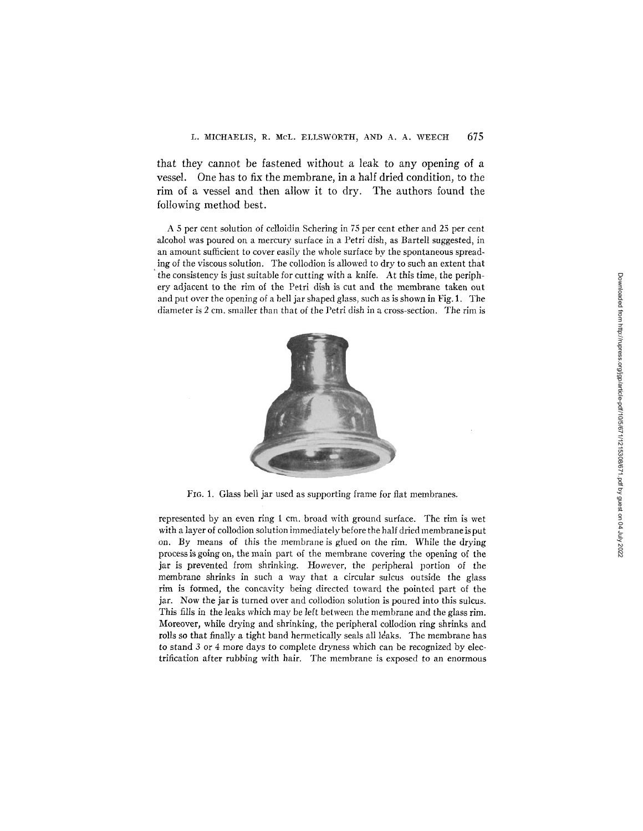that they cannot be fastened without a leak to any opening of a vessel. One has to fix the membrane, in a half dried condition, to the rim of a vessel and then allow it to dry. The authors found the following method best.

A 5 per cent solution of celloidin Schering in 75 per cent ether and 25 per cent alcohol was poured on a mercury surface in a Petri dish, as Bartell suggested, in an amount sufficient to cover easily the whole surface by the spontaneous spread- • ing of the viscous solution. The collodion is allowed to dry to such an extent that the consistency is just suitable for cutting with a knife. At this time, the periphery adjacent to the rim of the Petri dish is cut and the membrane taken out and put over the opening of a bell jar shaped glass, such as is shown in Fig. 1. The diameter is 2 cm. smaller than that of the Petri dish in a cross-section. The rim is



FI6. 1. Glass bell jar used as supporting frame for flat membranes.

represented by an even ring 1 cm. broad with ground surface. The rim is wet with a layer of collodion solution immediately before the half dried membrane is put on. By means of this the membraneis glued on the rim. While the drying process is going on, the main part of the membrane covering the opening of the jar is prevented from shrinking. However, the peripheral portion of the membrane shrinks in such a way that a circular sulcus outside the glass rim is formed, the concavity being directed toward the pointed part of the jar. Now the jar is turned over and collodion solution is poured into this sulcus. This fills in the leaks which may be left between the membrane and the glass rim. Moreover, while drying and shrinking, the peripheral collodion ring shrinks and rolls so that finally a tight band hermetically seals all leaks. The membrane has to stand 3 or 4 more days to complete dryness which can be recognized by electrification after rubbing with hair. The membrane is exposed to an enormous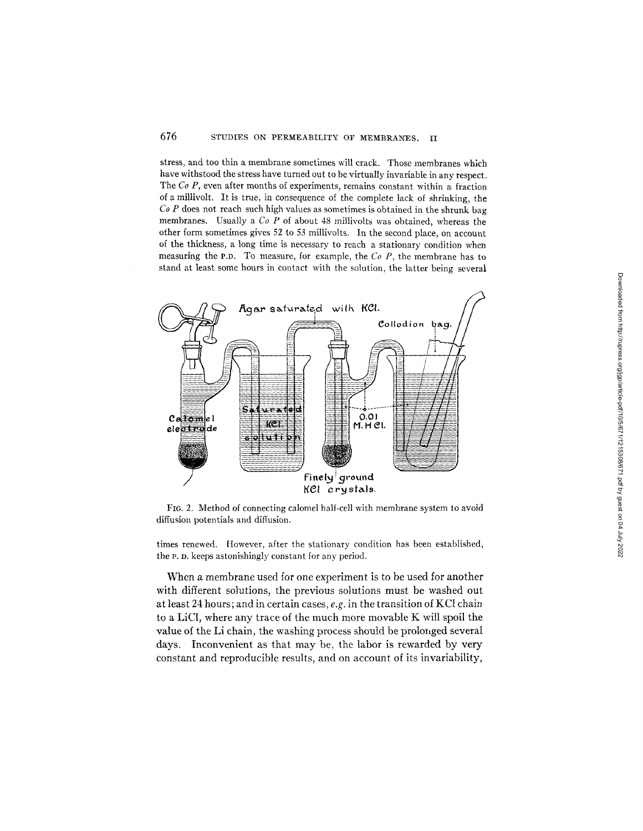## 676 STUDIES ON PERMEABILITY OF MEMBRANES. II

stress, and too thin a membrane sometimes Will crack. Those membranes which have withstood the stress have turned out to be virtually invariable in any respect. The *Co P*, even after months of experiments, remains constant within a fraction of a millivolt. It is true, in consequence of the complete lack of shrinking, the *Co P* does not reach such high values as sometimes is obtained in the shrunk bag membranes. Usually a *Co P* of about 48 millivolts was obtained, whereas the other form sometimes gives 52 to 53 millivolts. In the second place, on account of the thickness, a long time is necessary to reach a stationary condition when measuring the P.D. To measure, for example, the *Co P,* the membrane has to stand at least some hours in contact with the solution, the latter being several



FIO. 2. Method of connecting calomel half-cell with membrane system to avoid diffusion potentials and diffusion.

times renewed. However, after the stationary condition has been established, the P. D. keeps astonishingly constant for any period.

When a membrane used for one experiment is to be used for another with different solutions, the previous solutions must be washed out at least 24 hours; and in certain cases, *e.g.* in the transition of KC1 chain to a LiC1, where any trace of the much more movable K will spoil the value of the Li chain, the washing process should be prolonged several days. Inconvenient as that may be, the labor is rewarded by very constant and reproducible results, and on account of its invariability,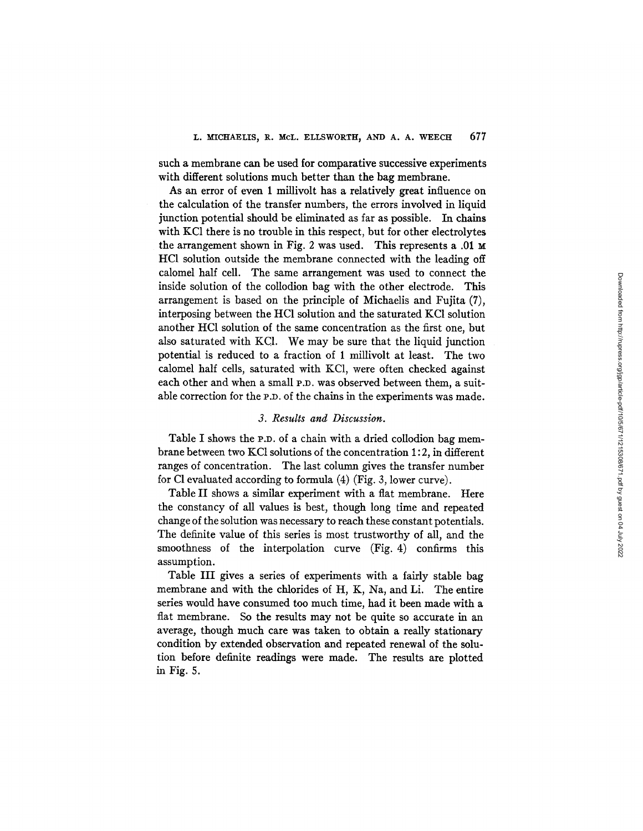such a membrane can be used for comparative successive experiments with different solutions much better than the bag membrane.

As an error of even 1 millivolt has a relatively great influence on the calculation of the transfer numbers, the errors involved in liquid junction potential should be eliminated as far as possible. In chains with KC1 there is no trouble in this respect, but for other electrolytes the arrangement shown in Fig. 2 was used. This represents a .01 HC1 solution outside the membrane connected with the leading off calomel half cell. The same arrangement was used to connect the inside solution of the collodion bag with the other electrode. This arrangement is based on the principle of Michaelis and Fujita (7), interposing between the HC1 solution and the saturated KC1 solution another HC1 solution of the same concentration as the first one, but also saturated with KC1. We may be sure that the liquid junction potential is reduced to a fraction of 1 millivolt at least. The two calomel half cells, saturated with KCI, were often checked against each other and when a small P.D. was observed between them, a suitable correction for the P.D. of the chains in the experiments was made.

### *3. Results and Discussion.*

Table I shows the P.D. of a chain with a dried collodion bag membrane between two KC1 solutions of the concentration 1 : 2, in different ranges of concentration. The last column gives the transfer number for Cl evaluated according to formula  $(4)$  (Fig. 3, lower curve).

Table II shows a similar experiment with a flat membrane. Here the constancy of all values is best, though long time and repeated change of the solution was necessary to reach these constant potentials. The definite value of this series is most trustworthy of all, and the smoothness of the interpolation curve (Fig. 4) confirms this assumption.

Table III gives a series of experiments with a fairly stable bag membrane and with the chlorides of H, K, Na, and Li. The entire series would have consumed too much time, had it been made with a fiat membrane. So the results may not be quite so accurate in an average, though much care was taken to obtain a really stationary condition by extended observation and repeated renewal of the solution before definite readings were made. The results are plotted in Fig. 5.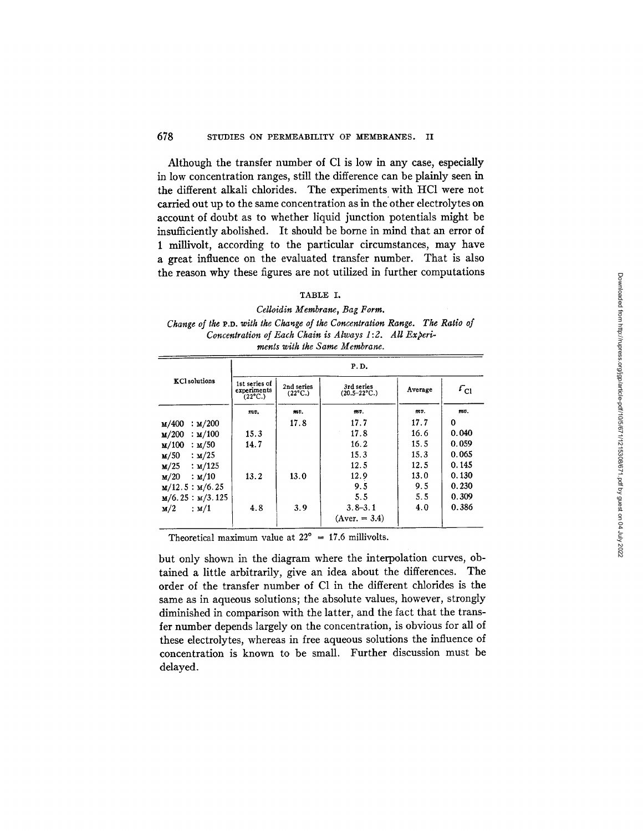## 678 STUDIES ON PERMEABILITY OF MEMBRANES. II

Although the transfer number of C1 is low in any case, especially in low concentration ranges, still the difference can be plainly seen in the different alkali chlorides. The experiments with HC1 were not carried out up to the same concentration as in the other electrolytes on account of doubt as to whether liquid junction potentials might be insufficiently abolished. It should be borne in mind that an error of 1 millivolt, according to the particular circumstances, may have a great influence on the evaluated transfer number. That is also the reason why these figures are not utilized in further computations

### TABLE I.

*Celloidin Membrane, Bag Form. Change of the* P.D. *with the Cha~ge of the Concentration Range. The Ratio of Concentration of Each Chain is Always 1:2. All Experiments with the Same Membrane.* 

|                                     | P.D.                                             |                                |                                 |         |                 |  |
|-------------------------------------|--------------------------------------------------|--------------------------------|---------------------------------|---------|-----------------|--|
| <b>KCl</b> solutions                | 1st series of<br>experiments<br>$(22^{\circ}C.)$ | 2nd series<br>$(22^{\circ}C.)$ | 3rd series<br>$(20.5 - 22$ °C.) | Average | $\tau_{\rm cl}$ |  |
|                                     | mv.                                              | m.                             | mv.                             | mv.     | mv.             |  |
| : м/200<br>м/400                    |                                                  | 17.8                           | 17.7                            | 17.7    | 0               |  |
| : <b>M</b> /100<br>$\mathbf{u}/200$ | 15.3                                             |                                | 17.8                            | 16.6    | 0.040           |  |
| $\mathbf{M}/100$<br>: M/50          | 14.7                                             |                                | 16.2                            | 15.5    | 0.059           |  |
| : M/25<br>$\mathbf{u}/50$           |                                                  |                                | 15.3                            | 15.3    | 0.065           |  |
| M/25<br>: M/125                     |                                                  |                                | 12.5                            | 12.5    | 0.145           |  |
| M/20<br>$\therefore$ M/10           | 13.2                                             | 13.0                           | 12.9                            | 13.0    | 0.130           |  |
| M/12.5 : M/6.25                     |                                                  |                                | 9.5                             | 9.5     | 0.230           |  |
| $M/6.25$ : $M/3.125$                |                                                  |                                | 5.5                             | 5.5     | 0.309           |  |
| $\mathbf{M}/2$<br>: м/1             | 4.8                                              | 3.9                            | $3.8 - 3.1$                     | 4.0     | 0.386           |  |
|                                     |                                                  |                                | $(Aver. = 3.4)$                 |         |                 |  |

Theoretical maximum value at  $22^{\circ}$  = 17.6 millivolts.

but only shown in the diagram where the interpolation curves, obtained a little arbitrarily, give an idea about the differences. The order of the transfer number of C1 in the different chlorides is the same as in aqueous solutions; the absolute values, however, strongly diminished in comparison with the latter, and the fact that the transfer number depends largely on the concentration, is obvious for all of these electrolytes, whereas in free aqueous solutions the influence of concentration is known to be small. Further discussion must be delayed.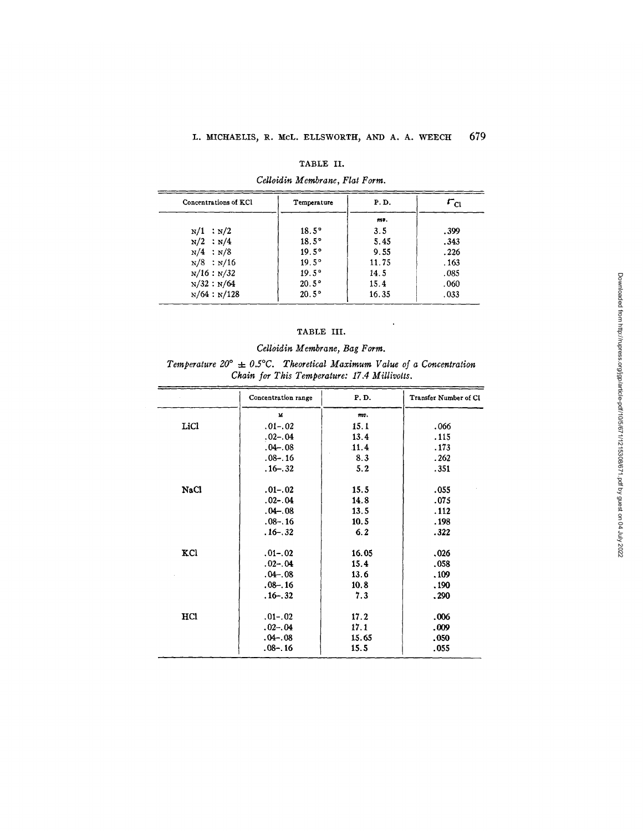#### TABLE II.

## *Celloidin Membrane, Flat Form.*

| Concentrations of KCl | Temperature    | P.D.  | $\tau_{\rm cl}$ |  |
|-----------------------|----------------|-------|-----------------|--|
|                       |                | $m$ . |                 |  |
| $N/1$ : $N/2$         | $18.5^\circ$   | 3.5   | .399            |  |
| $N/2$ : $N/4$         | $18.5^\circ$   | 5.45  | .343            |  |
| $N/4$ ; $N/8$         | $19.5^{\circ}$ | 9.55  | .226            |  |
| $N/8$ : $N/16$        | $19.5^{\circ}$ | 11.75 | .163            |  |
| N/16 : N/32           | $19.5^{\circ}$ | 14.5  | .085            |  |
| N/32 : N/64           | $20.5^\circ$   | 15.4  | .060            |  |
| N/64 : N/128          | $20.5^\circ$   | 16.35 | .033            |  |

## TABLE III.

## *Celloidin Membrane, Bag Form.*

*Temperature*  $20^{\circ} \pm 0.5^{\circ}$ C. *Theoretical Maximum Value of a Concentration Chain for This Temperature: 17.4 Millivolts.* 

|             | Concentration range      | P.D.  | <b>Transfer Number of CI</b> |
|-------------|--------------------------|-------|------------------------------|
|             | $\underline{\mathbf{M}}$ | mv.   |                              |
| LiCl        | $.01-.02$                | 15.1  | .066                         |
|             | $0.02 - 0.04$            | 13.4  | .115                         |
|             | $.04 - .08$              | .11.4 | .173                         |
|             | $.08 - .16$              | 8.3   | .262                         |
|             | $.16 - .32$              | 5.2   | .351                         |
| <b>NaCl</b> | $.01 - .02$              | 15.5  | .055                         |
|             | $.02 - .04$              | 14.8  | .075                         |
|             | $.04 - .08$              | 13.5  | .112                         |
|             | $.08 - .16$              | 10.5  | .198                         |
|             | $.16 - .32$              | 6.2   | .322                         |
| KCl         | $.01 - .02$              | 16.05 | .026                         |
|             | $.02 - .04$              | 15.4  | .058                         |
|             | $.04 - .08$              | 13.6  | .109                         |
|             | $.08 - .16$              | 10.8  | .190                         |
|             | $.16 - .32$              | 7.3   | .290                         |
| HCl         | $.01-.02$                | 17.2  | .006                         |
|             | $.02-.04$                | 17.1  | .009                         |
|             | $.04 - .08$              | 15.65 | .050                         |
|             | $.08 - .16$              | 15.5  | .055                         |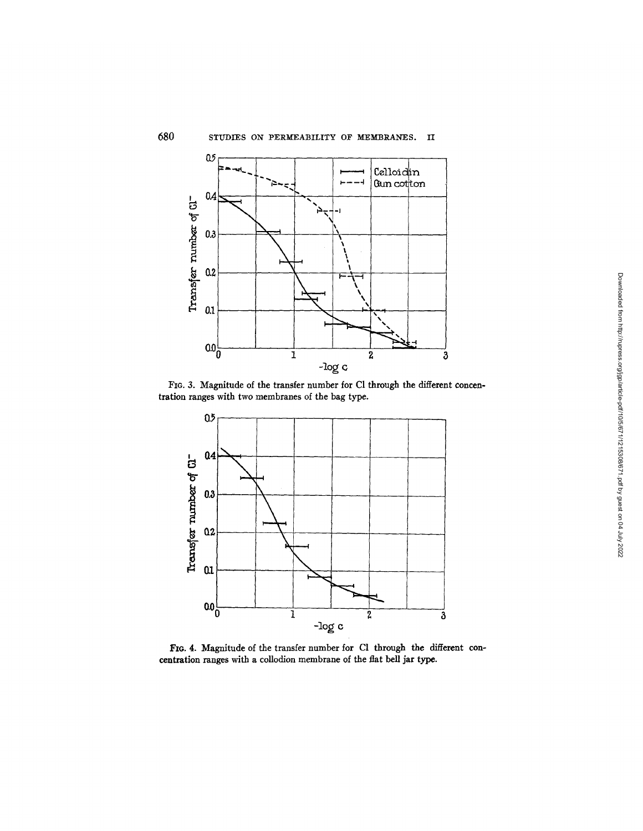

FIG. 3. Magnitude of the transfer number for Cl through the different concentration ranges with two membranes of the bag type.



FIG. 4. Magnitude of the transfer number for Cl through the different concentration ranges with a collodion membrane of the fiat bell jar type.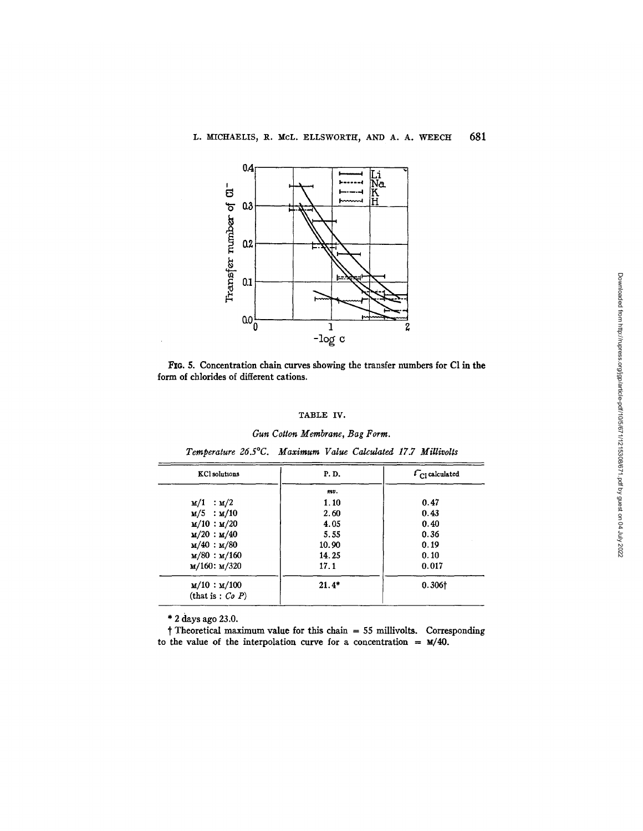

FIG. 5. Concentration chain curves showing the transfer numbers for Cl in the form of chlorides of different cations.

### TABLE IV.

#### *Gun Cotton Membrane, Bag Form.*

| <b>KCl</b> solutions            | P. D.   | $t_{\text{Cl}}$ calculated |
|---------------------------------|---------|----------------------------|
|                                 | mv.     |                            |
| M/1 : M/2                       | 1.10    | 0.47                       |
| $M/5$ : $M/10$                  | 2.60    | 0.43                       |
| $\mathbf{M}/10 : \mathbf{M}/20$ | 4.05    | 0.40                       |
| $M/20$ : $M/40$                 | 5.55    | 0.36                       |
| $M/40$ : $M/80$                 | 10.90   | 0.19                       |
| $M/80$ : $M/160$                | 14.25   | 0.10                       |
| $M/160$ : $M/320$               | 17.1    | 0.017                      |
| M/10 : M/100                    | $21.4*$ | 0.306 <sup>†</sup>         |
| (that is: $Co\ P$ )             |         |                            |

| Temperature 26.5°C. Maximum Value Calculated 17.7 Millivolts |  |  |  |
|--------------------------------------------------------------|--|--|--|
|                                                              |  |  |  |

\* 2 days ago 23.0.

 $\dagger$  Theoretical maximum value for this chain = 55 millivolts. Corresponding to the value of the interpolation curve for a concentration =  $\mathbf{M}/40$ .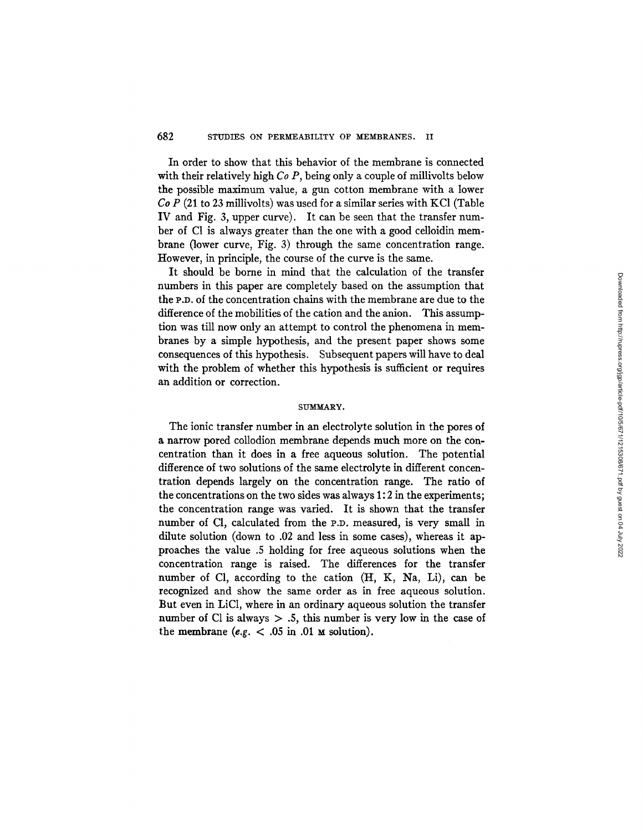In order to show that this behavior of the membrane is connected with their relatively high *Co P*, being only a couple of millivolts below the possible maximum value, a gun cotton membrane with a lower *Co P* (21 to 23 millivolts) was used for a similar series with KC1 (Table IV and Fig. 3, upper curve). It can be seen that the transfer number of C1 is always greater than the one with a good celloidin membrane (lower curve, Fig. 3) through the same concentration range. However, in principle, the course of the curve is the same.

It should be borne in mind that the calculation of the transfer numbers in this paper are completely based on the assumption that the P.D. of the concentration chains with the membrane are due to the difference of the mobilities of the cation and the anion. This assumption was till now only an attempt to control the phenomena in membranes by a simple hypothesis, and the present paper shows some consequences of this hypothesis. Subsequent papers will have to deal with the problem of whether this hypothesis is sufficient or requires an addition or correction.

#### SUMMARY.

The ionic transfer number in an electrolyte solution in the pores of a narrow pored collodion membrane depends much more on the concentration than it does in a free aqueous solution. The potential difference of two solutions of the same electrolyte in different concentration depends largely on the concentration range. The ratio of the concentrations on the two sides was always 1:2 in the experiments; the concentration range was varied. It is shown that the transfer number of CI, calculated from the P.D. measured, is very small in dilute solution (down to .02 and less in some cases), whereas it approaches the value .5 holding for free aqueous solutions when the concentration range is raised. The differences for the transfer number of Cl, according to the cation (H, K, Na, Li), can be recognized and show the same order as in free aqueous solution. But even in LiCI, where in an ordinary aqueous solution the transfer number of Cl is always  $> .5$ , this number is very low in the case of the membrane  $(e.g. < .05 \text{ in } .01 \text{ m}$  solution).